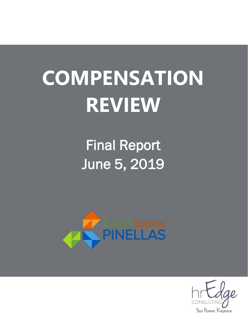# **COMPENSATION REVIEW**

Final Report June 5, 2019



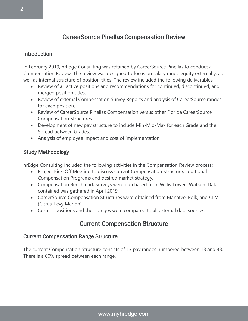# CareerSource Pinellas Compensation Review

# **Introduction**

In February 2019, hrEdge Consulting was retained by CareerSource Pinellas to conduct a Compensation Review. The review was designed to focus on salary range equity externally, as well as internal structure of position titles. The review included the following deliverables:

- Review of all active positions and recommendations for continued, discontinued, and merged position titles.
- Review of external Compensation Survey Reports and analysis of CareerSource ranges for each position.
- Review of CareerSource Pinellas Compensation versus other Florida CareerSource Compensation Structures.
- Development of new pay structure to include Min-Mid-Max for each Grade and the Spread between Grades.
- Analysis of employee impact and cost of implementation.

# Study Methodology

hrEdge Consulting included the following activities in the Compensation Review process:

- Project Kick-Off Meeting to discuss current Compensation Structure, additional Compensation Programs and desired market strategy.
- Compensation Benchmark Surveys were purchased from Willis Towers Watson. Data contained was gathered in April 2019.
- CareerSource Compensation Structures were obtained from Manatee, Polk, and CLM (Citrus, Levy Marion).
- Current positions and their ranges were compared to all external data sources.

# Current Compensation Structure

# Current Compensation Range Structure

The current Compensation Structure consists of 13 pay ranges numbered between 18 and 38. There is a 60% spread between each range.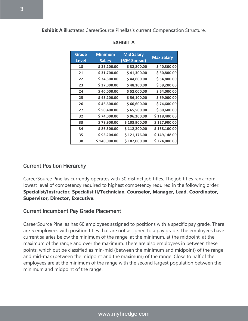| <b>Grade</b><br><b>Level</b> | <b>Minimum</b><br><b>Salary</b> | <b>Mid Salary</b><br>(60% Spread) | <b>Max Salary</b> |
|------------------------------|---------------------------------|-----------------------------------|-------------------|
| 18                           | \$25,200.00                     | \$32,800.00                       | \$40,300.00       |
| 21                           | \$31,700.00                     | \$41,300.00                       | \$50,800.00       |
| 22                           | \$34,300.00                     | \$44,600.00                       | \$54,800.00       |
| 23                           | \$37,000.00                     | \$48,100.00                       | \$59,200.00       |
| 24                           | \$40,000.00                     | \$ 52,000.00                      | \$64,000.00       |
| 25                           | \$43,200.00                     | \$56,100.00                       | \$69,000.00       |
| 26                           | \$46,600.00                     | \$60,600.00                       | \$74,600.00       |
| 27                           | \$50,400.00                     | \$65,500.00                       | \$80,600.00       |
| 32                           | \$74,000.00                     | \$96,200.00                       | \$118,400.00      |
| 33                           | \$79,900.00                     | \$103,900.00                      | \$ 127,900.00     |
| 34                           | \$86,300.00                     | \$112,200.00                      | \$138,100.00      |
| 35                           | \$93,204.00                     | \$121,176.00                      | \$ 149,148.00     |
| 38                           | \$140,000.00                    | \$182,000.00                      | \$224,000.00      |

#### **EXHIBIT A**

#### Current Position Hierarchy

CareerSource Pinellas currently operates with 30 distinct job titles. The job titles rank from lowest level of competency required to highest competency required in the following order: **Specialist/Instructor, Specialist II/Technician, Counselor, Manager, Lead, Coordinator, Supervisor, Director, Executive**.

#### Current Incumbent Pay Grade Placement

CareerSource Pinellas has 60 employees assigned to positions with a specific pay grade. There are 5 employees with position titles that are not assigned to a pay grade. The employees have current salaries below the minimum of the range, at the minimum, at the midpoint, at the maximum of the range and over the maximum. There are also employees in between these points, which out be classified as min-mid (between the minimum and midpoint) of the range and mid-max (between the midpoint and the maximum) of the range. Close to half of the employees are at the minimum of the range with the second largest population between the minimum and midpoint of the range.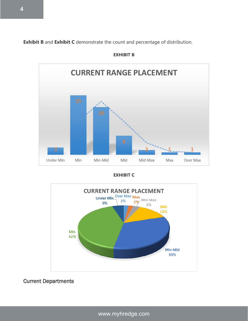**Exhibit B** and **Exhibit C** demonstrate the count and percentage of distribution.



**EXHIBIT B**

**EXHIBIT C**



# Current Departments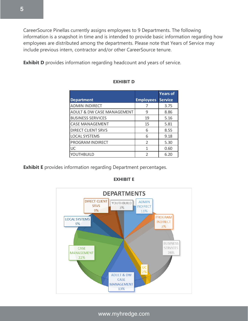CareerSource Pinellas currently assigns employees to 9 Departments. The following information is a snapshot in time and is intended to provide basic information regarding how employees are distributed among the departments. Please note that Years of Service may include previous intern, contractor and/or other CareerSource tenure.

**Exhibit D** provides information regarding headcount and years of service.

|                            |                  | <b>Years of</b> |
|----------------------------|------------------|-----------------|
| <b>Department</b>          | <b>Employees</b> | <b>Service</b>  |
| <b>ADMIN INDIRECT</b>      |                  | 3.75            |
| ADULT & DW CASE MANAGEMENT | 9                | 8.86            |
| <b>BUSINESS SERVICES</b>   | 19               | 5.16            |
| <b>CASE MANAGEMENT</b>     | 15               | 5.81            |
| <b>DIRECT CLIENT SRVS</b>  | 6                | 8.55            |
| <b>LOCAL SYSTEMS</b>       | 6                | 9.18            |
| <b>PROGRAM INDIRECT</b>    | 2                | 5.30            |
| UC                         | 1                | 0.60            |
| YOUTHBUILD                 | っ                | 6.20            |

#### **EXHIBIT D**

**Exhibit E** provides information regarding Department percentages.



#### **EXHIBIT E**

#### www.myhredge.com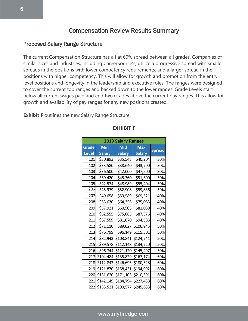# Compensation Review Results Summary

### Proposed Salary Range Structure

The current Compensation Structure has a flat 60% spread between all grades. Companies of similar sizes and industries, including CareerSource's, utilize a progressive spread with smaller spreads in the positions with lower competency requirements, and a larger spread in the positions with higher competency. This will allow for growth and promotion from the entry level positions and longevity in the leadership and executive roles. The ranges were designed to cover the current top ranges and backed down to the lower ranges. Grade Levels start below all current wages paid and end two Grades above the current pay ranges. This allow for growth and availability of pay ranges for any new positions created.

**Exhibit F** outlines the new Salary Range Structure.

| <b>2019 Salary Ranges</b> |               |               |               |               |  |  |  |
|---------------------------|---------------|---------------|---------------|---------------|--|--|--|
| <b>Grade</b>              | Min           | Mid           | <b>Max</b>    |               |  |  |  |
| Level                     | <b>Salary</b> | <b>Salary</b> | <b>Salary</b> | <b>Spread</b> |  |  |  |
| 101                       | \$30,893      | \$35,548      | \$40,204      | 30%           |  |  |  |
| 102                       | \$33,580      | \$38,640      | \$43,700      | 30%           |  |  |  |
| 103                       | \$36,500      | \$42,000      | \$47,500      | 30%           |  |  |  |
| 104                       | \$39,420      | \$45,360      | \$51,300      | 30%           |  |  |  |
| 105                       | \$42,574      | \$48,989      | \$55,404      | 30%           |  |  |  |
| 206                       | \$45,979      | \$52,908      | \$59,836      | 30%           |  |  |  |
| 207                       | \$49,658      | \$59,589      | \$69,521      | 40%           |  |  |  |
| 208                       | \$53,630      | \$64,356      | \$75,083      | 40%           |  |  |  |
| 209                       | \$57,921      | \$69,505      | \$81,089      | 40%           |  |  |  |
| 210                       | \$62,555      | \$75,065      | \$87,576      | 40%           |  |  |  |
| 211                       | \$67,559      | \$81,070      | \$94,583      | 40%           |  |  |  |
| 212                       | \$71,110      | \$89,027      | \$106,945     | 50%           |  |  |  |
| 213                       | \$76,799      | \$96,149      | \$115,501     | 50%           |  |  |  |
| 214                       | \$82,943      | \$103,841     | \$124,741     | 50%           |  |  |  |
| 215                       | \$89,578      | \$112,148     | \$134,720     | 50%           |  |  |  |
| 216                       | \$96,744      | \$121,120     | \$145,497     | 50%           |  |  |  |
| 217                       | \$104,484     | \$135,829     | \$167,174     | 60%           |  |  |  |
| 218                       | \$112,843     | \$146,695     | \$180,548     | 60%           |  |  |  |
| 219                       | \$121,870     | \$158,431     | \$194,992     | 60%           |  |  |  |
| 220                       | \$131,620     | \$171,105     | \$210,591     | 60%           |  |  |  |
| 2211                      | \$142,149     | \$184,794     | \$227,438     | 60%           |  |  |  |
| 222                       | \$153,521     | \$199,577     | \$245,633     | 60%           |  |  |  |

#### **EXHIBIT F**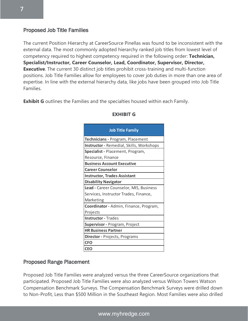## Proposed Job Title Families

The current Position Hierarchy at CareerSource Pinellas was found to be inconsistent with the external data. The most commonly adopted hierarchy ranked job titles from lowest level of competency required to highest competency required in the following order: **Technician, Specialist/Instructor, Career Counselor, Lead, Coordinator, Supervisor, Director, Executive**. The current 30 distinct job titles prohibit cross-training and multi-function positions. Job Title Families allow for employees to cover job duties in more than one area of expertise. In line with the external hierarchy data, like jobs have been grouped into Job Title Families.

**Exhibit G** outlines the Families and the specialties housed within each Family.

| <b>Job Title Family</b>                         |  |
|-------------------------------------------------|--|
| Technicians - Program, Placement                |  |
| <b>Instructor - Remedial, Skills, Workshops</b> |  |
| Specialist - Placement, Program,                |  |
| Resource, Finance                               |  |
| <b>Business Account Executive</b>               |  |
| <b>Career Counselor</b>                         |  |
| <b>Instructor, Trades Assistant</b>             |  |
| <b>Disability Navigator</b>                     |  |
| Lead - Career Counselor, MIS, Business          |  |
| Services, Instructor Trades, Finance,           |  |
| Marketing                                       |  |
| Coordinator - Admin, Finance, Program,          |  |
| Projects                                        |  |
| <b>Instructor - Trades</b>                      |  |
| Supervisor - Program, Project                   |  |
| <b>HR Business Partner</b>                      |  |
| Director - Projects, Programs                   |  |
| <b>CFO</b>                                      |  |
| <b>CEO</b>                                      |  |

#### **EXHIBIT G**

#### Proposed Range Placement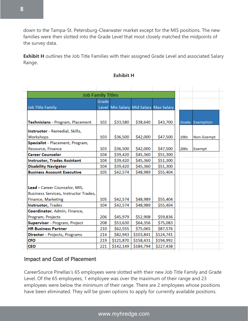down to the Tampa-St. Petersburg-Clearwater market except for the MIS positions. The new families were then slotted into the Grade Level that most closely matched the midpoints of the survey data.

**Exhibit H** outlines the Job Title Families with their assigned Grade Level and associated Salary Range.

| <b>Job Family Titles</b>              |       |           |           |                                        |                  |                 |
|---------------------------------------|-------|-----------|-----------|----------------------------------------|------------------|-----------------|
| <b>Job Title Family</b>               | Grade |           |           | Level Min Salary Mid Salary Max Salary |                  |                 |
|                                       |       |           |           |                                        |                  |                 |
| Technicians - Program, Placement      | 102   | \$33,580  | \$38,640  | \$43,700                               |                  | Grade Exemption |
| Instructor - Remedial, Skills,        |       |           |           |                                        |                  |                 |
| Workshops                             | 103   | \$36,500  | \$42,000  | \$47,500                               | 100 <sub>5</sub> | Non-Exempt      |
| Specialist - Placement, Program,      |       |           |           |                                        |                  |                 |
| Resource, Finance                     | 103   | \$36,500  | \$42,000  | \$47,500                               | 200s             | Exempt          |
| <b>Career Counselor</b>               | 104   | \$39,420  | \$45,360  | \$51,300                               |                  |                 |
| Instructor, Trades Assistant          | 104   | \$39,420  | \$45,360  | \$51,300                               |                  |                 |
| <b>Disability Navigator</b>           | 104   | \$39,420  | \$45,360  | \$51,300                               |                  |                 |
| <b>Business Account Executive</b>     | 105   | \$42,574  | \$48,989  | \$55,404                               |                  |                 |
|                                       |       |           |           |                                        |                  |                 |
| Lead - Career Counselor, MIS,         |       |           |           |                                        |                  |                 |
| Business Services, Instructor Trades, |       |           |           |                                        |                  |                 |
| Finance, Marketing                    | 105   | \$42,574  | \$48,989  | \$55,404                               |                  |                 |
| Instructor, Trades                    | 104   | \$42,574  | \$48,989  | \$55,404                               |                  |                 |
| Coordinator, Admin, Finance,          |       |           |           |                                        |                  |                 |
| Program, Projects                     | 206   | \$45,979  | \$52,908  | \$59,836                               |                  |                 |
| Supervisor - Program, Project         | 208   | \$53,630  | \$64,356  | \$75,083                               |                  |                 |
| <b>HR Business Partner</b>            | 210   | \$62,555  | \$75,065  | \$87,576                               |                  |                 |
| <b>Director</b> - Projects, Programs  | 214   | \$82,943  | \$103,841 | \$124,741                              |                  |                 |
| CFO                                   | 219   | \$121,870 | \$158,431 | \$194,992                              |                  |                 |
| CEO                                   | 221   | \$142,149 | \$184,794 | \$227,438                              |                  |                 |

#### **Exhibit H**

# Impact and Cost of Placement

CareerSource Pinellas's 65 employees were slotted with their new Job Title Family and Grade Level. Of the 65 employees, 1 employee was over the maximum of their range and 23 employees were below the minimum of their range. There are 2 employees whose positions have been eliminated. They will be given options to apply for currently available positions.

# www.myhredge.com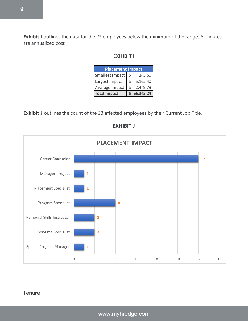**Exhibit I** outlines the data for the 23 employees below the minimum of the range. All figures are annualized cost.

#### **EXHIBIT I**

| <b>Placement Impact</b> |    |           |  |  |  |  |
|-------------------------|----|-----------|--|--|--|--|
| Smallest Impact         | \$ | 245.60    |  |  |  |  |
| Largest Impact          | Ś  | 5,162.40  |  |  |  |  |
| Average Impact          | Ś  | 2,449.79  |  |  |  |  |
| <b>Total Impact</b>     |    | 56,345.24 |  |  |  |  |

**Exhibit J** outlines the count of the 23 affected employees by their Current Job Title.



#### **EXHIBIT J**

# **Tenure**